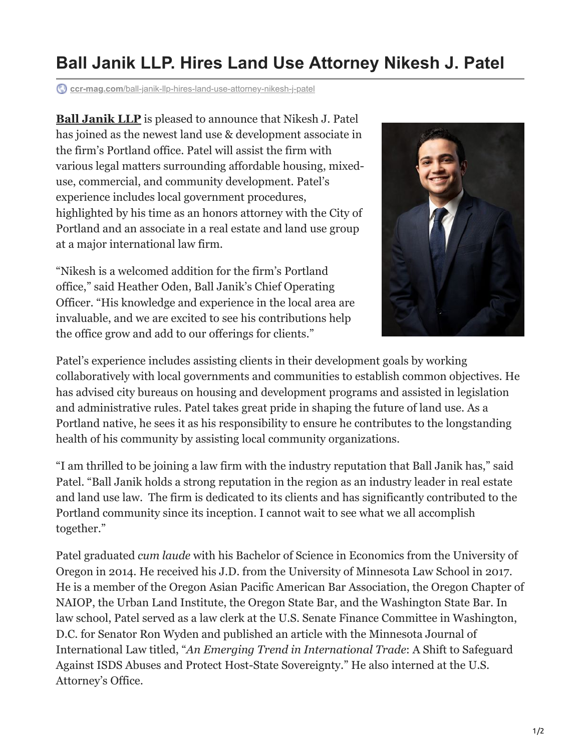## **Ball Janik LLP. Hires Land Use Attorney Nikesh J. Patel**

**ccr-mag.com**[/ball-janik-llp-hires-land-use-attorney-nikesh-j-patel](https://www.ccr-mag.com/ball-janik-llp-hires-land-use-attorney-nikesh-j-patel/)

**[Ball Janik LLP](https://www.balljanik.com/orlando-office/)** is pleased to announce that Nikesh J. Patel has joined as the newest land use & development associate in the firm's Portland office. Patel will assist the firm with various legal matters surrounding affordable housing, mixeduse, commercial, and community development. Patel's experience includes local government procedures, highlighted by his time as an honors attorney with the City of Portland and an associate in a real estate and land use group at a major international law firm.

"Nikesh is a welcomed addition for the firm's Portland office," said Heather Oden, Ball Janik's Chief Operating Officer. "His knowledge and experience in the local area are invaluable, and we are excited to see his contributions help the office grow and add to our offerings for clients."



Patel's experience includes assisting clients in their development goals by working collaboratively with local governments and communities to establish common objectives. He has advised city bureaus on housing and development programs and assisted in legislation and administrative rules. Patel takes great pride in shaping the future of land use. As a Portland native, he sees it as his responsibility to ensure he contributes to the longstanding health of his community by assisting local community organizations.

"I am thrilled to be joining a law firm with the industry reputation that Ball Janik has," said Patel. "Ball Janik holds a strong reputation in the region as an industry leader in real estate and land use law. The firm is dedicated to its clients and has significantly contributed to the Portland community since its inception. I cannot wait to see what we all accomplish together."

Patel graduated *cum laude* with his Bachelor of Science in Economics from the University of Oregon in 2014. He received his J.D. from the University of Minnesota Law School in 2017. He is a member of the Oregon Asian Pacific American Bar Association, the Oregon Chapter of NAIOP, the Urban Land Institute, the Oregon State Bar, and the Washington State Bar. In law school, Patel served as a law clerk at the U.S. Senate Finance Committee in Washington, D.C. for Senator Ron Wyden and published an article with the Minnesota Journal of International Law titled, "*An Emerging Trend in International Trade*: A Shift to Safeguard Against ISDS Abuses and Protect Host-State Sovereignty." He also interned at the U.S. Attorney's Office.